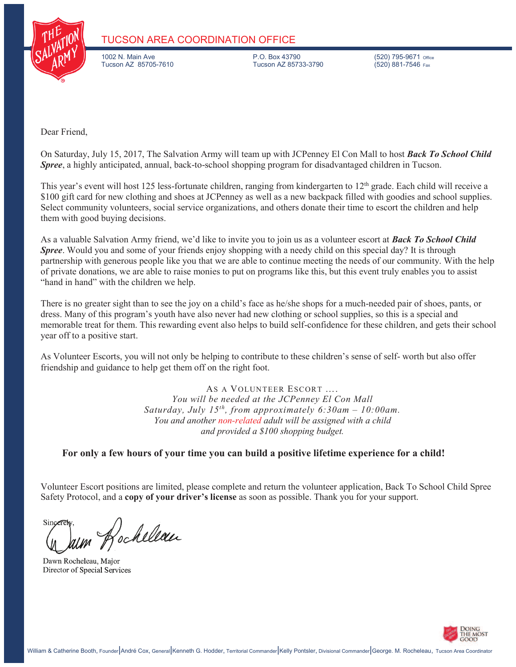

#### **TUCSON AREA COORDINATION OFFICE**

1002 N. Main Ave P.O. Box 43790 (520) 795-9671 Office Tucson AZ 85705-7610

Dear Friend,

On Saturday, July 15, 2017, The Salvation Army will team up with JCPenney El Con Mall to host *Back To School Child Spree*, a highly anticipated, annual, back-to-school shopping program for disadvantaged children in Tucson.

This year's event will host 125 less-fortunate children, ranging from kindergarten to 12<sup>th</sup> grade. Each child will receive a \$100 gift card for new clothing and shoes at JCPenney as well as a new backpack filled with goodies and school supplies. Select community volunteers, social service organizations, and others donate their time to escort the children and help them with good buying decisions.

As a valuable Salvation Army friend, we'd like to invite you to join us as a volunteer escort at *Back To School Child*  **Spree**. Would you and some of your friends enjoy shopping with a needy child on this special day? It is through partnership with generous people like you that we are able to continue meeting the needs of our community. With the help of private donations, we are able to raise monies to put on programs like this, but this event truly enables you to assist "hand in hand" with the children we help.

There is no greater sight than to see the joy on a child's face as he/she shops for a much-needed pair of shoes, pants, or dress. Many of this program's youth have also never had new clothing or school supplies, so this is a special and memorable treat for them. This rewarding event also helps to build self-confidence for these children, and gets their school year off to a positive start.

As Volunteer Escorts, you will not only be helping to contribute to these children's sense of self- worth but also offer friendship and guidance to help get them off on the right foot.

> AS A VOLUNTEER ESCORT …. *You will be needed at the JCPenney El Con Mall Saturday, July 15th, from approximately 6:30am – 10:00am. You and another non-related adult will be assigned with a child and provided a \$100 shopping budget.*

#### **For only a few hours of your time you can build a positive lifetime experience for a child!**

Volunteer Escort positions are limited, please complete and return the volunteer application, Back To School Child Spree Safety Protocol, and a **copy of your driver's license** as soon as possible. Thank you for your support.

Sincere aum Rocheleau

Dawn Rocheleau, Major Director of Special Services

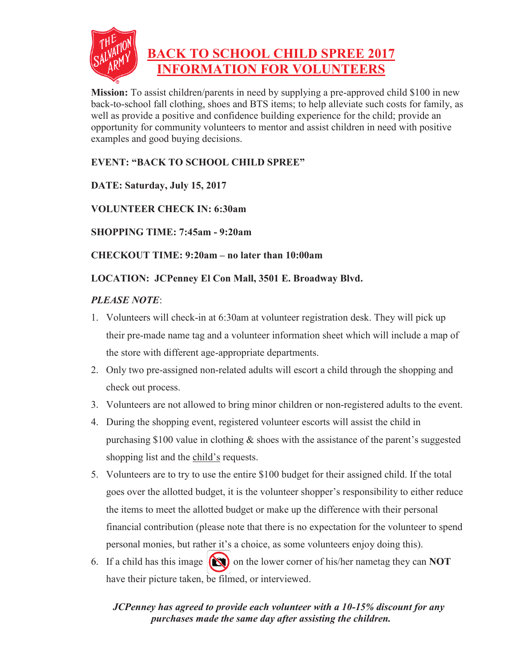

**Mission:** To assist children/parents in need by supplying a pre-approved child \$100 in new back-to-school fall clothing, shoes and BTS items; to help alleviate such costs for family, as well as provide a positive and confidence building experience for the child; provide an opportunity for community volunteers to mentor and assist children in need with positive examples and good buying decisions.

### **EVENT: "BACK TO SCHOOL CHILD SPREE"**

**DATE: Saturday, July 15, 2017** 

### **VOLUNTEER CHECK IN: 6:30am**

**SHOPPING TIME: 7:45am - 9:20am** 

**CHECKOUT TIME: 9:20am – no later than 10:00am** 

#### **LOCATION: JCPenney El Con Mall, 3501 E. Broadway Blvd.**

#### *PLEASE NOTE*:

- 1. Volunteers will check-in at 6:30am at volunteer registration desk. They will pick up their pre-made name tag and a volunteer information sheet which will include a map of the store with different age-appropriate departments.
- 2. Only two pre-assigned non-related adults will escort a child through the shopping and check out process.
- 3. Volunteers are not allowed to bring minor children or non-registered adults to the event.
- 4. During the shopping event, registered volunteer escorts will assist the child in purchasing \$100 value in clothing  $\&$  shoes with the assistance of the parent's suggested shopping list and the child's requests.
- 5. Volunteers are to try to use the entire \$100 budget for their assigned child. If the total goes over the allotted budget, it is the volunteer shopper's responsibility to either reduce the items to meet the allotted budget or make up the difference with their personal financial contribution (please note that there is no expectation for the volunteer to spend personal monies, but rather it's a choice, as some volunteers enjoy doing this).
- 6. If a child has this image **(N)** on the lower corner of his/her nametag they can **NOT** have their picture taken, be filmed, or interviewed.

### *JCPenney has agreed to provide each volunteer with a 10-15% discount for any purchases made the same day after assisting the children.*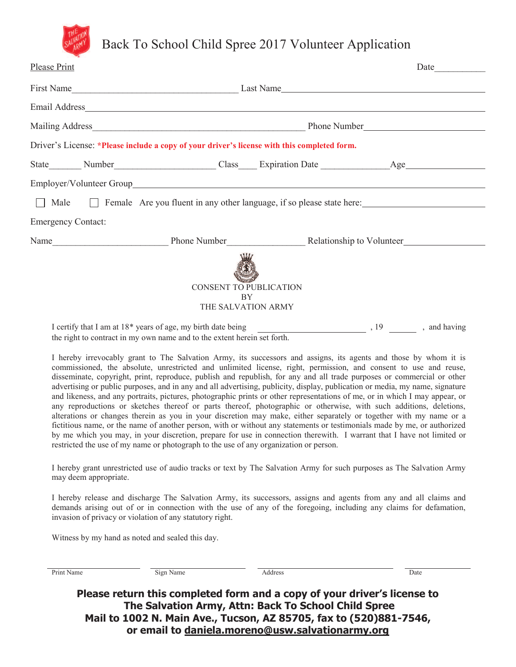

# Back To School Child Spree 2017 Volunteer Application

| <b>Please Print</b>                                                                                                                                                                                                                                                       |           |  |  |  |
|---------------------------------------------------------------------------------------------------------------------------------------------------------------------------------------------------------------------------------------------------------------------------|-----------|--|--|--|
|                                                                                                                                                                                                                                                                           |           |  |  |  |
|                                                                                                                                                                                                                                                                           |           |  |  |  |
|                                                                                                                                                                                                                                                                           |           |  |  |  |
| Driver's License: *Please include a copy of your driver's license with this completed form.                                                                                                                                                                               |           |  |  |  |
|                                                                                                                                                                                                                                                                           |           |  |  |  |
|                                                                                                                                                                                                                                                                           |           |  |  |  |
| Male<br>Female Are you fluent in any other language, if so please state here:<br>$\mathbf{I}$                                                                                                                                                                             |           |  |  |  |
| <b>Emergency Contact:</b>                                                                                                                                                                                                                                                 |           |  |  |  |
|                                                                                                                                                                                                                                                                           |           |  |  |  |
| <b>CONSENT TO PUBLICATION</b><br><b>BY</b><br>THE SALVATION ARMY                                                                                                                                                                                                          |           |  |  |  |
| $\mathbf{r}$ is a substituting $\mathbf{r}$ in the set of $\mathbf{0}$ denotes $\mathbf{r}$ and $\mathbf{r}$ is the set of $\mathbf{r}$ in the set of $\mathbf{r}$ is a set of $\mathbf{r}$ is a set of $\mathbf{r}$ is a set of $\mathbf{r}$ is a set of $\mathbf{r}$ is | $10$ $11$ |  |  |  |

I certify that I am at 18<sup>\*</sup> years of age, my birth date being , 19 , and having , 19 , and having the right to contract in my own name and to the extent herein set forth.

I hereby irrevocably grant to The Salvation Army, its successors and assigns, its agents and those by whom it is commissioned, the absolute, unrestricted and unlimited license, right, permission, and consent to use and reuse, disseminate, copyright, print, reproduce, publish and republish, for any and all trade purposes or commercial or other advertising or public purposes, and in any and all advertising, publicity, display, publication or media, my name, signature and likeness, and any portraits, pictures, photographic prints or other representations of me, or in which I may appear, or any reproductions or sketches thereof or parts thereof, photographic or otherwise, with such additions, deletions, alterations or changes therein as you in your discretion may make, either separately or together with my name or a fictitious name, or the name of another person, with or without any statements or testimonials made by me, or authorized by me which you may, in your discretion, prepare for use in connection therewith. I warrant that I have not limited or restricted the use of my name or photograph to the use of any organization or person.

I hereby grant unrestricted use of audio tracks or text by The Salvation Army for such purposes as The Salvation Army may deem appropriate.

I hereby release and discharge The Salvation Army, its successors, assigns and agents from any and all claims and demands arising out of or in connection with the use of any of the foregoing, including any claims for defamation, invasion of privacy or violation of any statutory right.

Witness by my hand as noted and sealed this day.

| Print Name | Sign Name | <b>Address</b>                                                                                                                   | Date |
|------------|-----------|----------------------------------------------------------------------------------------------------------------------------------|------|
|            |           | Please return this completed form and a copy of your driver's license to<br>The Salvation Army, Attn: Back To School Child Spree |      |
|            |           | Mail to 1002 N. Main Ave., Tucson, AZ 85705, fax to (520)881-7546,                                                               |      |
|            |           | or email to daniela.moreno@usw.salvationarmy.org                                                                                 |      |